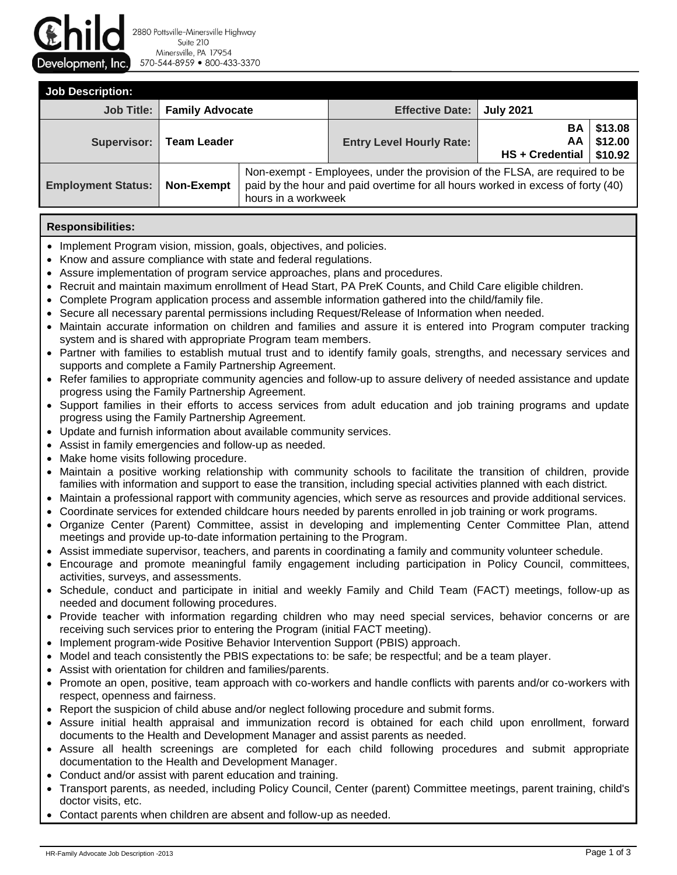

2880 Pottsville-Minersville Highway Suite 210 Minersville, PA 17954 570-544-8959 800-433-3370

| <b>Job Description:</b>   |                        |                                                                                                                                                                                       |                                 |                             |                               |  |  |
|---------------------------|------------------------|---------------------------------------------------------------------------------------------------------------------------------------------------------------------------------------|---------------------------------|-----------------------------|-------------------------------|--|--|
| Job Title: I              | <b>Family Advocate</b> |                                                                                                                                                                                       | <b>Effective Date:</b>          | <b>July 2021</b>            |                               |  |  |
| <b>Supervisor:</b>        | <b>Team Leader</b>     |                                                                                                                                                                                       | <b>Entry Level Hourly Rate:</b> | ΒA<br>ΑA<br>HS + Credential | \$13.08<br>\$12.00<br>\$10.92 |  |  |
| <b>Employment Status:</b> | Non-Exempt             | Non-exempt - Employees, under the provision of the FLSA, are required to be<br>paid by the hour and paid overtime for all hours worked in excess of forty (40)<br>hours in a workweek |                                 |                             |                               |  |  |

## **Responsibilities:**

- Implement Program vision, mission, goals, objectives, and policies.
- Know and assure compliance with state and federal regulations.
- Assure implementation of program service approaches, plans and procedures.
- Recruit and maintain maximum enrollment of Head Start, PA PreK Counts, and Child Care eligible children.
- Complete Program application process and assemble information gathered into the child/family file.
- Secure all necessary parental permissions including Request/Release of Information when needed.
- Maintain accurate information on children and families and assure it is entered into Program computer tracking system and is shared with appropriate Program team members.
- Partner with families to establish mutual trust and to identify family goals, strengths, and necessary services and supports and complete a Family Partnership Agreement.
- Refer families to appropriate community agencies and follow-up to assure delivery of needed assistance and update progress using the Family Partnership Agreement.
- Support families in their efforts to access services from adult education and job training programs and update progress using the Family Partnership Agreement.
- Update and furnish information about available community services.
- Assist in family emergencies and follow-up as needed.
- Make home visits following procedure.
- Maintain a positive working relationship with community schools to facilitate the transition of children, provide families with information and support to ease the transition, including special activities planned with each district.
- Maintain a professional rapport with community agencies, which serve as resources and provide additional services.
- Coordinate services for extended childcare hours needed by parents enrolled in job training or work programs.
- Organize Center (Parent) Committee, assist in developing and implementing Center Committee Plan, attend meetings and provide up-to-date information pertaining to the Program.
- Assist immediate supervisor, teachers, and parents in coordinating a family and community volunteer schedule.
- Encourage and promote meaningful family engagement including participation in Policy Council, committees, activities, surveys, and assessments.
- Schedule, conduct and participate in initial and weekly Family and Child Team (FACT) meetings, follow-up as needed and document following procedures.
- Provide teacher with information regarding children who may need special services, behavior concerns or are receiving such services prior to entering the Program (initial FACT meeting).
- Implement program-wide Positive Behavior Intervention Support (PBIS) approach.
- Model and teach consistently the PBIS expectations to: be safe; be respectful; and be a team player.
- Assist with orientation for children and families/parents.
- Promote an open, positive, team approach with co-workers and handle conflicts with parents and/or co-workers with respect, openness and fairness.
- Report the suspicion of child abuse and/or neglect following procedure and submit forms.
- Assure initial health appraisal and immunization record is obtained for each child upon enrollment, forward documents to the Health and Development Manager and assist parents as needed.
- Assure all health screenings are completed for each child following procedures and submit appropriate documentation to the Health and Development Manager.
- Conduct and/or assist with parent education and training.
- Transport parents, as needed, including Policy Council, Center (parent) Committee meetings, parent training, child's doctor visits, etc.
- Contact parents when children are absent and follow-up as needed.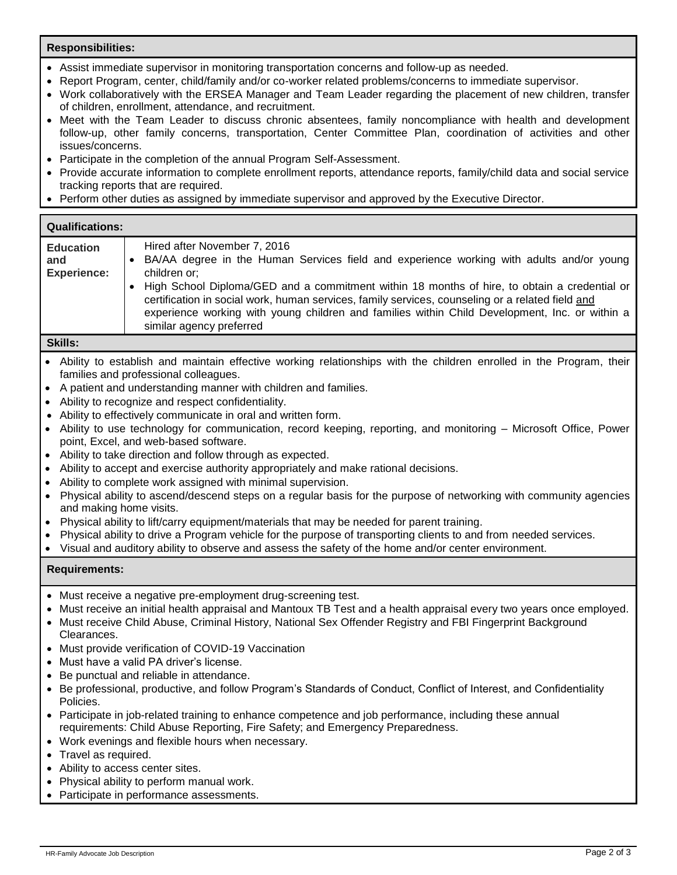## **Responsibilities:**

- Assist immediate supervisor in monitoring transportation concerns and follow-up as needed.
- Report Program, center, child/family and/or co-worker related problems/concerns to immediate supervisor.
- Work collaboratively with the ERSEA Manager and Team Leader regarding the placement of new children, transfer of children, enrollment, attendance, and recruitment.
- Meet with the Team Leader to discuss chronic absentees, family noncompliance with health and development follow-up, other family concerns, transportation, Center Committee Plan, coordination of activities and other issues/concerns.
- Participate in the completion of the annual Program Self-Assessment.
- Provide accurate information to complete enrollment reports, attendance reports, family/child data and social service tracking reports that are required.
- Perform other duties as assigned by immediate supervisor and approved by the Executive Director.

## **Qualifications:**

| <b>Education</b><br>and<br><b>Experience:</b> | Hired after November 7, 2016<br>BA/AA degree in the Human Services field and experience working with adults and/or young<br>children or;<br>• High School Diploma/GED and a commitment within 18 months of hire, to obtain a credential or<br>certification in social work, human services, family services, counseling or a related field and |
|-----------------------------------------------|------------------------------------------------------------------------------------------------------------------------------------------------------------------------------------------------------------------------------------------------------------------------------------------------------------------------------------------------|
|                                               | experience working with young children and families within Child Development, Inc. or within a<br>similar agency preferred                                                                                                                                                                                                                     |

**Skills:**

- Ability to establish and maintain effective working relationships with the children enrolled in the Program, their families and professional colleagues.
- A patient and understanding manner with children and families.
- Ability to recognize and respect confidentiality.
- Ability to effectively communicate in oral and written form.
- Ability to use technology for communication, record keeping, reporting, and monitoring Microsoft Office, Power point, Excel, and web-based software.
- Ability to take direction and follow through as expected.
- Ability to accept and exercise authority appropriately and make rational decisions.
- Ability to complete work assigned with minimal supervision.
- Physical ability to ascend/descend steps on a regular basis for the purpose of networking with community agencies and making home visits.
- Physical ability to lift/carry equipment/materials that may be needed for parent training.
- Physical ability to drive a Program vehicle for the purpose of transporting clients to and from needed services.
- Visual and auditory ability to observe and assess the safety of the home and/or center environment.

## **Requirements:**

- Must receive a negative pre-employment drug-screening test.
- Must receive an initial health appraisal and Mantoux TB Test and a health appraisal every two years once employed.
- Must receive Child Abuse, Criminal History, National Sex Offender Registry and FBI Fingerprint Background Clearances.
- Must provide verification of COVID-19 Vaccination
- Must have a valid PA driver's license.
- Be punctual and reliable in attendance.
- Be professional, productive, and follow Program's Standards of Conduct, Conflict of Interest, and Confidentiality Policies.
- Participate in job-related training to enhance competence and job performance, including these annual requirements: Child Abuse Reporting, Fire Safety; and Emergency Preparedness.
- Work evenings and flexible hours when necessary.
- Travel as required.
- Ability to access center sites.
- Physical ability to perform manual work.
- Participate in performance assessments.